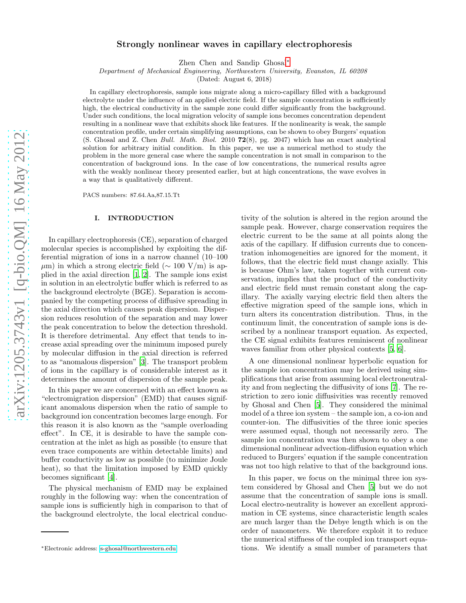## Strongly nonlinear waves in capillary electrophoresis

Zhen Chen and Sandip Ghosal[∗](#page-0-0)

Department of Mechanical Engineering, Northwestern University, Evanston, IL 60208

(Dated: August 6, 2018)

In capillary electrophoresis, sample ions migrate along a micro-capillary filled with a background electrolyte under the influence of an applied electric field. If the sample concentration is sufficiently high, the electrical conductivity in the sample zone could differ significantly from the background. Under such conditions, the local migration velocity of sample ions becomes concentration dependent resulting in a nonlinear wave that exhibits shock like features. If the nonlinearity is weak, the sample concentration profile, under certain simplifying assumptions, can be shown to obey Burgers' equation (S. Ghosal and Z. Chen Bull. Math. Biol. 2010 72(8), pg. 2047) which has an exact analytical solution for arbitrary initial condition. In this paper, we use a numerical method to study the problem in the more general case where the sample concentration is not small in comparison to the concentration of background ions. In the case of low concentrations, the numerical results agree with the weakly nonlinear theory presented earlier, but at high concentrations, the wave evolves in a way that is qualitatively different.

PACS numbers: 87.64.Aa,87.15.Tt

### I. INTRODUCTION

In capillary electrophoresis (CE), separation of charged molecular species is accomplished by exploiting the differential migration of ions in a narrow channel (10–100  $\mu$ m) in which a strong electric field ( $\sim 100$  V/m) is applied in the axial direction  $[1, 2]$  $[1, 2]$  $[1, 2]$ . The sample ions exist in solution in an electrolytic buffer which is referred to as the background electrolyte (BGE). Separation is accompanied by the competing process of diffusive spreading in the axial direction which causes peak dispersion. Dispersion reduces resolution of the separation and may lower the peak concentration to below the detection threshold. It is therefore detrimental. Any effect that tends to increase axial spreading over the minimum imposed purely by molecular diffusion in the axial direction is referred to as "anomalous dispersion" [\[3](#page-5-2)]. The transport problem of ions in the capillary is of considerable interest as it determines the amount of dispersion of the sample peak.

In this paper we are concerned with an effect known as "electromigration dispersion" (EMD) that causes significant anomalous dispersion when the ratio of sample to background ion concentration becomes large enough. For this reason it is also known as the "sample overloading effect". In CE, it is desirable to have the sample concentration at the inlet as high as possible (to ensure that even trace components are within detectable limits) and buffer conductivity as low as possible (to minimize Joule heat), so that the limitation imposed by EMD quickly becomes significant [\[4\]](#page-5-3).

The physical mechanism of EMD may be explained roughly in the following way: when the concentration of sample ions is sufficiently high in comparison to that of the background electrolyte, the local electrical conduc-

tivity of the solution is altered in the region around the sample peak. However, charge conservation requires the electric current to be the same at all points along the axis of the capillary. If diffusion currents due to concentration inhomogeneities are ignored for the moment, it follows, that the electric field must change axially. This is because Ohm's law, taken together with current conservation, implies that the product of the conductivity and electric field must remain constant along the capillary. The axially varying electric field then alters the effective migration speed of the sample ions, which in turn alters its concentration distribution. Thus, in the continuum limit, the concentration of sample ions is described by a nonlinear transport equation. As expected, the CE signal exhibits features reminiscent of nonlinear waves familiar from other physical contexts [\[5](#page-5-4), [6](#page-5-5)].

A one dimensional nonlinear hyperbolic equation for the sample ion concentration may be derived using simplifications that arise from assuming local electroneutrality and from neglecting the diffusivity of ions [\[7\]](#page-5-6). The restriction to zero ionic diffusivities was recently removed by Ghosal and Chen [\[5](#page-5-4)]. They considered the minimal model of a three ion system – the sample ion, a co-ion and counter-ion. The diffusivities of the three ionic species were assumed equal, though not necessarily zero. The sample ion concentration was then shown to obey a one dimensional nonlinear advection-diffusion equation which reduced to Burgers' equation if the sample concentration was not too high relative to that of the background ions.

In this paper, we focus on the minimal three ion system considered by Ghosal and Chen [\[5](#page-5-4)] but we do not assume that the concentration of sample ions is small. Local electro-neutrality is however an excellent approximation in CE systems, since characteristic length scales are much larger than the Debye length which is on the order of nanometers. We therefore exploit it to reduce the numerical stiffness of the coupled ion transport equations. We identify a small number of parameters that

<span id="page-0-0"></span><sup>∗</sup>Electronic address: [s-ghosal@northwestern.edu](mailto:s-ghosal@northwestern.edu)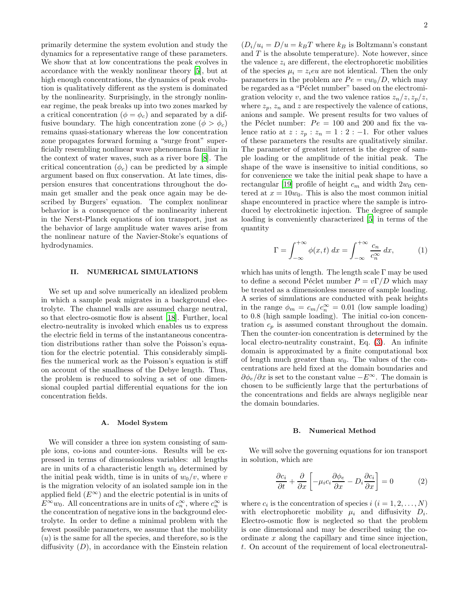primarily determine the system evolution and study the dynamics for a representative range of these parameters. We show that at low concentrations the peak evolves in accordance with the weakly nonlinear theory [\[5](#page-5-4)], but at high enough concentrations, the dynamics of peak evolution is qualitatively different as the system is dominated by the nonlinearity. Surprisingly, in the strongly nonlinear regime, the peak breaks up into two zones marked by a critical concentration ( $\phi = \phi_c$ ) and separated by a diffusive boundary. The high concentration zone  $(\phi > \phi_c)$ remains quasi-stationary whereas the low concentration zone propagates forward forming a "surge front" superficially resembling nonlinear wave phenomena familiar in the context of water waves, such as a river bore [\[8](#page-5-7)]. The critical concentration  $(\phi_c)$  can be predicted by a simple argument based on flux conservation. At late times, dispersion ensures that concentrations throughout the domain get smaller and the peak once again may be described by Burgers' equation. The complex nonlinear behavior is a consequence of the nonlinearity inherent in the Nerst-Planck equations of ion transport, just as the behavior of large amplitude water waves arise from the nonlinear nature of the Navier-Stoke's equations of hydrodynamics.

## II. NUMERICAL SIMULATIONS

We set up and solve numerically an idealized problem in which a sample peak migrates in a background electrolyte. The channel walls are assumed charge neutral, so that electro-osmotic flow is absent [\[18](#page-5-8)]. Further, local electro-neutrality is invoked which enables us to express the electric field in terms of the instantaneous concentration distributions rather than solve the Poisson's equation for the electric potential. This considerably simplifies the numerical work as the Poisson's equation is stiff on account of the smallness of the Debye length. Thus, the problem is reduced to solving a set of one dimensional coupled partial differential equations for the ion concentration fields.

## A. Model System

We will consider a three ion system consisting of sample ions, co-ions and counter-ions. Results will be expressed in terms of dimensionless variables: all lengths are in units of a characteristic length  $w_0$  determined by the initial peak width, time is in units of  $w_0/v$ , where v is the migration velocity of an isolated sample ion in the applied field  $(E^{\infty})$  and the electric potential is in units of  $E^{\infty}w_0$ . All concentrations are in units of  $c_n^{\infty}$ , where  $c_n^{\infty}$  is the concentration of negative ions in the background electrolyte. In order to define a minimal problem with the fewest possible parameters, we assume that the mobility  $(u)$  is the same for all the species, and therefore, so is the diffusivity  $(D)$ , in accordance with the Einstein relation

 $(D_i/u_i = D/u = k_BT$  where  $k_B$  is Boltzmann's constant and  $T$  is the absolute temperature). Note however, since the valence  $z_i$  are different, the electrophoretic mobilities of the species  $\mu_i = z_i e u$  are not identical. Then the only parameters in the problem are  $Pe = v w_0/D$ , which may be regarded as a "Péclet number" based on the electromigration velocity v, and the two valence ratios  $z_n/z, z_p/z$ , where  $z_p$ ,  $z_n$  and z are respectively the valence of cations, anions and sample. We present results for two values of the Péclet number:  $Pe = 100$  and 200 and fix the valence ratio at  $z : z_p : z_n = 1 : 2 : -1$ . For other values of these parameters the results are qualitatively similar. The parameter of greatest interest is the degree of sample loading or the amplitude of the initial peak. The shape of the wave is insensitive to initial conditions, so for convenience we take the initial peak shape to have a rectangular [\[19\]](#page-5-9) profile of height  $c_m$  and width  $2w_0$  centered at  $x = 10w_0$ . This is also the most common initial shape encountered in practice where the sample is introduced by electrokinetic injection. The degree of sample loading is conveniently characterized [\[5\]](#page-5-4) in terms of the quantity

$$
\Gamma = \int_{-\infty}^{+\infty} \phi(x, t) \, dx = \int_{-\infty}^{+\infty} \frac{c_n}{c_n^{\infty}} \, dx,\tag{1}
$$

which has units of length. The length scale  $\Gamma$  may be used to define a second Péclet number  $P = v\Gamma/D$  which may be treated as a dimensionless measure of sample loading. A series of simulations are conducted with peak heights in the range  $\phi_m = c_m/c_n^{\infty} = 0.01$  (low sample loading) to 0.8 (high sample loading). The initial co-ion concentration  $c_p$  is assumed constant throughout the domain. Then the counter-ion concentration is determined by the local electro-neutrality constraint, Eq. [\(3\)](#page-2-0). An infinite domain is approximated by a finite computational box of length much greater than  $w_0$ . The values of the concentrations are held fixed at the domain boundaries and  $\partial \phi_e / \partial x$  is set to the constant value  $-E^{\infty}$ . The domain is chosen to be sufficiently large that the perturbations of the concentrations and fields are always negligible near the domain boundaries.

#### B. Numerical Method

We will solve the governing equations for ion transport in solution, which are

<span id="page-1-0"></span>
$$
\frac{\partial c_i}{\partial t} + \frac{\partial}{\partial x} \left[ -\mu_i c_i \frac{\partial \phi_e}{\partial x} - D_i \frac{\partial c_i}{\partial x} \right] = 0 \tag{2}
$$

where  $c_i$  is the concentration of species  $i$   $(i = 1, 2, ..., N)$ with electrophoretic mobility  $\mu_i$  and diffusivity  $D_i$ . Electro-osmotic flow is neglected so that the problem is one dimensional and may be described using the coordinate x along the capillary and time since injection, t. On account of the requirement of local electroneutral-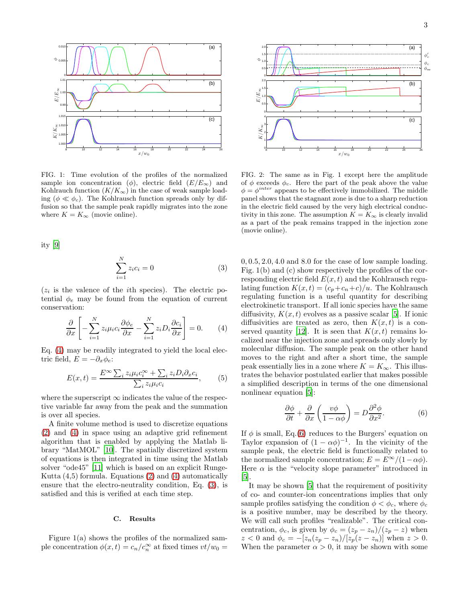

FIG. 1: Time evolution of the profiles of the normalized sample ion concentration ( $\phi$ ), electric field ( $E/E_{\infty}$ ) and Kohlrauch function  $(K/K_{\infty})$  in the case of weak sample loading  $(\phi \ll \phi_c)$ . The Kohlrausch function spreads only by diffusion so that the sample peak rapidly migrates into the zone where  $K = K_{\infty}$  (movie online).

ity [\[9\]](#page-5-10)

<span id="page-2-0"></span>
$$
\sum_{i=1}^{N} z_i c_i = 0
$$
 (3)

 $(z<sub>i</sub>$  is the valence of the *i*th species). The electric potential  $\phi_e$  may be found from the equation of current conservation:

<span id="page-2-1"></span>
$$
\frac{\partial}{\partial x}\left[-\sum_{i=1}^{N} z_i \mu_i c_i \frac{\partial \phi_e}{\partial x} - \sum_{i=1}^{N} z_i D_i \frac{\partial c_i}{\partial x}\right] = 0. \qquad (4)
$$

Eq. [\(4\)](#page-2-1) may be readily integrated to yield the local electric field,  $E = -\partial_x \phi_e$ :

$$
E(x,t) = \frac{E^{\infty} \sum_{i} z_{i} \mu_{i} c_{i}^{\infty} + \sum_{i} z_{i} D_{i} \partial_{x} c_{i}}{\sum_{i} z_{i} \mu_{i} c_{i}},
$$
(5)

where the superscript  $\infty$  indicates the value of the respective variable far away from the peak and the summation is over all species.

A finite volume method is used to discretize equations [\(2\)](#page-1-0) and [\(4\)](#page-2-1) in space using an adaptive grid refinement algorithm that is enabled by applying the Matlab library "MatMOL" [\[10](#page-5-11)]. The spatially discretized system of equations is then integrated in time using the Matlab solver "ode45" [\[11](#page-5-12)] which is based on an explicit Runge-Kutta  $(4.5)$  formula. Equations  $(2)$  and  $(4)$  automatically ensure that the electro-neutrality condition, Eq. [\(3\)](#page-2-0), is satisfied and this is verified at each time step.

#### C. Results

Figure 1(a) shows the profiles of the normalized sample concentration  $\phi(x,t) = c_n/c_n^{\infty}$  at fixed times  $vt/w_0 =$ 



FIG. 2: The same as in Fig. 1 except here the amplitude of  $\phi$  exceeds  $\phi_c$ . Here the part of the peak above the value  $\phi = \phi^{inter}$  appears to be effectively immobilized. The middle panel shows that the stagnant zone is due to a sharp reduction in the electric field caused by the very high electrical conductivity in this zone. The assumption  $K = K_{\infty}$  is clearly invalid as a part of the peak remains trapped in the injection zone (movie online).

0, 0.5, 2.0, 4.0 and 8.0 for the case of low sample loading. Fig. 1(b) and (c) show respectively the profiles of the corresponding electric field  $E(x, t)$  and the Kohlrausch regulating function  $K(x,t) = (c_p+c_n+c)/u$ . The Kohlrausch regulating function is a useful quantity for describing electrokinetic transport. If all ionic species have the same diffusivity,  $K(x, t)$  evolves as a passive scalar [\[5\]](#page-5-4). If ionic diffusivities are treated as zero, then  $K(x, t)$  is a con-served quantity [\[12](#page-5-13)]. It is seen that  $K(x,t)$  remains localized near the injection zone and spreads only slowly by molecular diffusion. The sample peak on the other hand moves to the right and after a short time, the sample peak essentially lies in a zone where  $K = K_{\infty}$ . This illustrates the behavior postulated earlier that makes possible a simplified description in terms of the one dimensional nonlinear equation [\[5](#page-5-4)]:

<span id="page-2-2"></span>
$$
\frac{\partial \phi}{\partial t} + \frac{\partial}{\partial x} \left( \frac{v\phi}{1 - \alpha \phi} \right) = D \frac{\partial^2 \phi}{\partial x^2}.
$$
 (6)

If  $\phi$  is small, Eq.[\(6\)](#page-2-2) reduces to the Burgers' equation on Taylor expansion of  $(1 - \alpha \phi)^{-1}$ . In the vicinity of the sample peak, the electric field is functionally related to the normalized sample concentration;  $E = E^{\infty}/(1-\alpha\phi)$ . Here  $\alpha$  is the "velocity slope parameter" introduced in [\[5\]](#page-5-4).

It may be shown [\[5](#page-5-4)] that the requirement of positivity of co- and counter-ion concentrations implies that only sample profiles satisfying the condition  $\phi < \phi_c$ , where  $\phi_c$ is a positive number, may be described by the theory. We will call such profiles "realizable". The critical concentration,  $\phi_c$ , is given by  $\phi_c = (z_p - z_n)/(z_p - z)$  when  $z < 0$  and  $\phi_c = -[z_n(z_p - z_n)/[z_p(z - z_n)]$  when  $z > 0$ . When the parameter  $\alpha > 0$ , it may be shown with some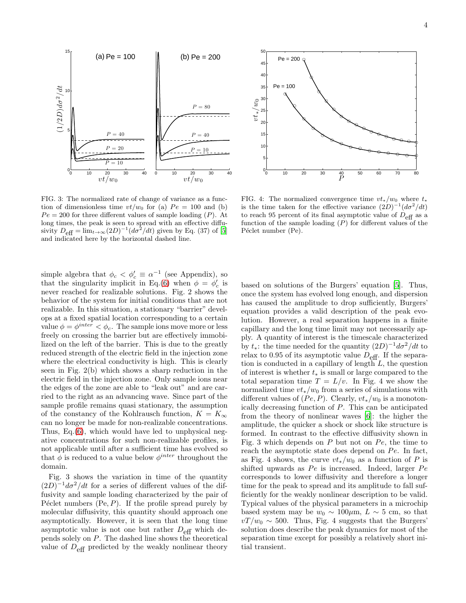

FIG. 3: The normalized rate of change of variance as a function of dimensionless time  $vt/w_0$  for (a)  $Pe = 100$  and (b)  $Pe = 200$  for three different values of sample loading  $(P)$ . At long times, the peak is seen to spread with an effective diffusivity  $D_{\text{eff}} = \lim_{t \to \infty} (2D)^{-1} (d\sigma^2/dt)$  given by Eq. (37) of [\[5](#page-5-4)] and indicated here by the horizontal dashed line.

simple algebra that  $\phi_c < \phi_c' \equiv \alpha^{-1}$  (see Appendix), so that the singularity implicit in Eq.[\(6\)](#page-2-2) when  $\phi = \phi'_c$  is never reached for realizable solutions. Fig. 2 shows the behavior of the system for initial conditions that are not realizable. In this situation, a stationary "barrier" develops at a fixed spatial location corresponding to a certain value  $\phi = \phi^{inter} < \phi_c$ . The sample ions move more or less freely on crossing the barrier but are effectively immobilized on the left of the barrier. This is due to the greatly reduced strength of the electric field in the injection zone where the electrical conductivity is high. This is clearly seen in Fig. 2(b) which shows a sharp reduction in the electric field in the injection zone. Only sample ions near the edges of the zone are able to "leak out" and are carried to the right as an advancing wave. Since part of the sample profile remains quasi stationary, the assumption of the constancy of the Kohlrausch function,  $K = K_{\infty}$ can no longer be made for non-realizable concentrations. Thus, Eq.[\(6\)](#page-2-2), which would have led to unphysical negative concentrations for such non-realizable profiles, is not applicable until after a sufficient time has evolved so that  $\phi$  is reduced to a value below  $\phi^{inter}$  throughout the domain.

Fig. 3 shows the variation in time of the quantity  $(2D)^{-1}d\sigma^2/dt$  for a series of different values of the diffusivity and sample loading characterized by the pair of Péclet numbers  $(Pe, P)$ . If the profile spread purely by molecular diffusivity, this quantity should approach one asymptotically. However, it is seen that the long time asymptotic value is not one but rather  $D_{\text{eff}}$  which depends solely on P. The dashed line shows the theoretical value of  $D_{\text{eff}}$  predicted by the weakly nonlinear theory



FIG. 4: The normalized convergence time  $vt_*/w_0$  where  $t_*$ is the time taken for the effective variance  $(2D)^{-1}(d\sigma^2/dt)$ to reach 95 percent of its final asymptotic value of  $D_{\text{eff}}$  as a function of the sample loading  $(P)$  for different values of the Péclet number (Pe).

based on solutions of the Burgers' equation [\[5](#page-5-4)]. Thus, once the system has evolved long enough, and dispersion has caused the amplitude to drop sufficiently, Burgers' equation provides a valid description of the peak evolution. However, a real separation happens in a finite capillary and the long time limit may not necessarily apply. A quantity of interest is the timescale characterized by  $t_*$ : the time needed for the quantity  $(2D)^{-1}d\sigma^2/dt$  to relax to 0.95 of its asymptotic value  $D_{\text{eff}}$ . If the separation is conducted in a capillary of length  $L$ , the question of interest is whether  $t_*$  is small or large compared to the total separation time  $T = L/v$ . In Fig. 4 we show the normalized time  $vt_*/w_0$  from a series of simulations with different values of  $(Pe, P)$ . Clearly,  $vt_*/w_0$  is a monotonically decreasing function of P. This can be anticipated from the theory of nonlinear waves [\[6](#page-5-5)]: the higher the amplitude, the quicker a shock or shock like structure is formed. In contrast to the effective diffusivity shown in Fig. 3 which depends on  $P$  but not on  $Pe$ , the time to reach the asymptotic state does depend on  $Pe$ . In fact, as Fig. 4 shows, the curve  $vt_*/w_0$  as a function of P is shifted upwards as  $Pe$  is increased. Indeed, larger  $Pe$ corresponds to lower diffusivity and therefore a longer time for the peak to spread and its amplitude to fall sufficiently for the weakly nonlinear description to be valid. Typical values of the physical parameters in a microchip based system may be  $w_0 \sim 100 \mu m$ ,  $L \sim 5$  cm, so that  $vT/w_0 \sim 500$ . Thus, Fig. 4 suggests that the Burgers' solution does describe the peak dynamics for most of the separation time except for possibly a relatively short initial transient.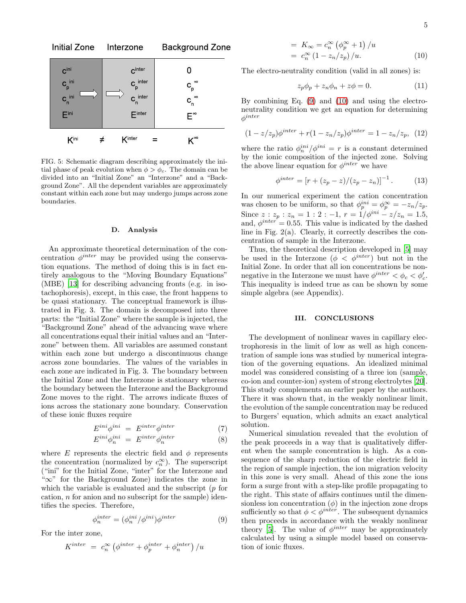

FIG. 5: Schematic diagram describing approximately the initial phase of peak evolution when  $\phi > \phi_c$ . The domain can be divided into an "Initial Zone" an "Interzone" and a "Background Zone". All the dependent variables are approximately constant within each zone but may undergo jumps across zone boundaries.

## D. Analysis

An approximate theoretical determination of the concentration  $\phi^{inter}$  may be provided using the conservation equations. The method of doing this is in fact entirely analogous to the "Moving Boundary Equations" (MBE) [\[13](#page-5-14)] for describing advancing fronts (e.g. in isotachophoresis), except, in this case, the front happens to be quasi stationary. The conceptual framework is illustrated in Fig. 3. The domain is decomposed into three parts: the "Initial Zone" where the sample is injected, the "Background Zone" ahead of the advancing wave where all concentrations equal their initial values and an "Interzone" between them. All variables are assumed constant within each zone but undergo a discontinuous change across zone boundaries. The values of the variables in each zone are indicated in Fig. 3. The boundary between the Initial Zone and the Interzone is stationary whereas the boundary between the Interzone and the Background Zone moves to the right. The arrows indicate fluxes of ions across the stationary zone boundary. Conservation of these ionic fluxes require

$$
E^{ini}\phi^{ini} = E^{inter}\phi^{inter}
$$
 (7)

$$
E^{ini}\phi_n^{ini} = E^{inter}\phi_n^{inter}
$$
 (8)

where E represents the electric field and  $\phi$  represents the concentration (normalized by  $c_n^{\infty}$ ). The superscript ("ini" for the Initial Zone, "inter" for the Interzone and "∞" for the Background Zone) indicates the zone in which the variable is evaluated and the subscript (p for cation,  $n$  for anion and no subscript for the sample) identifies the species. Therefore,

<span id="page-4-0"></span>
$$
\phi_n^{inter} = (\phi_n^{ini}/\phi^{ini})\phi^{inter}
$$
 (9)

For the inter zone,

<span id="page-4-1"></span>
$$
K^{inter}~=~c_{n}^{\infty}\left(\phi^{inter}+\phi_{p}^{inter}+\phi_{n}^{inter}\right)/u
$$

$$
= K_{\infty} = c_n^{\infty} \left( \phi_p^{\infty} + 1 \right) / u
$$

$$
= c_n^{\infty} \left( 1 - z_n / z_p \right) / u.
$$
 (10)

The electro-neutrality condition (valid in all zones) is:

$$
z_p \phi_p + z_n \phi_n + z \phi = 0. \tag{11}
$$

By combining Eq. [\(9\)](#page-4-0) and [\(10\)](#page-4-1) and using the electroneutrality condition we get an equation for determining  $\phi^{inter}$ 

$$
(1 - z/z_p)\phi^{inter} + r(1 - z_n/z_p)\phi^{inter} = 1 - z_n/z_p, (12)
$$

where the ratio  $\phi_n^{ini}/\phi^{ini} = r$  is a constant determined by the ionic composition of the injected zone. Solving the above linear equation for  $\phi^{inter}$  we have

$$
\phi^{inter} = [r + (z_p - z)/(z_p - z_n)]^{-1}.
$$
 (13)

In our numerical experiment the cation concentration was chosen to be uniform, so that  $\phi_p^{ini} = \phi_p^{\infty} = -z_n/z_p$ . Since  $z : z_p : z_n = 1 : 2 : -1, r = 1/\phi^{ini} - z/z_n = 1.5$ , and,  $\phi^{inter} = 0.55$ . This value is indicated by the dashed line in Fig. 2(a). Clearly, it correctly describes the concentration of sample in the Interzone.

Thus, the theoretical description developed in [\[5\]](#page-5-4) may be used in the Interzone ( $\phi < \phi^{inter}$ ) but not in the Initial Zone. In order that all ion concentrations be nonnegative in the Interzone we must have  $\phi^{inter} < \phi_c < \phi_c'$ . This inequality is indeed true as can be shown by some simple algebra (see Appendix).

### III. CONCLUSIONS

The development of nonlinear waves in capillary electrophoresis in the limit of low as well as high concentration of sample ions was studied by numerical integration of the governing equations. An idealized minimal model was considered consisting of a three ion (sample, co-ion and counter-ion) system of strong electrolytes [\[20\]](#page-5-15). This study complements an earlier paper by the authors. There it was shown that, in the weakly nonlinear limit, the evolution of the sample concentration may be reduced to Burgers' equation, which admits an exact analytical solution.

Numerical simulation revealed that the evolution of the peak proceeds in a way that is qualitatively different when the sample concentration is high. As a consequence of the sharp reduction of the electric field in the region of sample injection, the ion migration velocity in this zone is very small. Ahead of this zone the ions form a surge front with a step-like profile propagating to the right. This state of affairs continues until the dimensionless ion concentration  $(\phi)$  in the injection zone drops sufficiently so that  $\phi < \phi^{inter}$ . The subsequent dynamics then proceeds in accordance with the weakly nonlinear theory [\[5](#page-5-4)]. The value of  $\phi^{inter}$  may be approximately calculated by using a simple model based on conservation of ionic fluxes.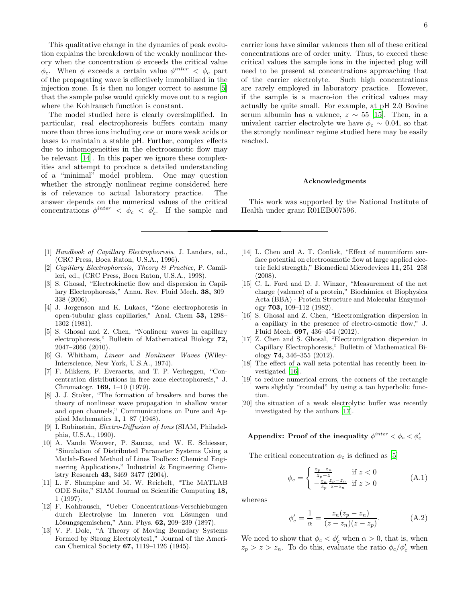This qualitative change in the dynamics of peak evolution explains the breakdown of the weakly nonlinear theory when the concentration  $\phi$  exceeds the critical value  $\phi_c$ . When  $\phi$  exceeds a certain value  $\phi^{inter} < \phi_c$  part of the propagating wave is effectively immobilized in the injection zone. It is then no longer correct to assume [\[5](#page-5-4)] that the sample pulse would quickly move out to a region where the Kohlrausch function is constant.

The model studied here is clearly oversimplified. In particular, real electrophoresis buffers contain many more than three ions including one or more weak acids or bases to maintain a stable pH. Further, complex effects due to inhomogeneities in the electroosmotic flow may be relevant [\[14](#page-5-16)]. In this paper we ignore these complexities and attempt to produce a detailed understanding of a "minimal" model problem. One may question whether the strongly nonlinear regime considered here is of relevance to actual laboratory practice. The answer depends on the numerical values of the critical concentrations  $\phi^{inter} < \phi_c < \phi_c'$ . If the sample and

- <span id="page-5-0"></span>[1] Handbook of Capillary Electrophoresis, J. Landers, ed., (CRC Press, Boca Raton, U.S.A., 1996).
- <span id="page-5-1"></span>[2] Capillary Electrophoresis, Theory & Practice, P. Camilleri, ed., (CRC Press, Boca Raton, U.S.A., 1998).
- <span id="page-5-2"></span>[3] S. Ghosal, "Electrokinetic flow and dispersion in Capillary Electrophoresis," Annu. Rev. Fluid Mech. 38, 309– 338 (2006).
- <span id="page-5-3"></span>[4] J. Jorgenson and K. Lukacs, "Zone electrophoresis in open-tubular glass capillaries," Anal. Chem 53, 1298– 1302 (1981).
- <span id="page-5-4"></span>[5] S. Ghosal and Z. Chen, "Nonlinear waves in capillary electrophoresis," Bulletin of Mathematical Biology 72, 2047–2066 (2010).
- <span id="page-5-5"></span>[6] G. Whitham, Linear and Nonlinear Waves (Wiley-Interscience, New York, U.S.A., 1974).
- <span id="page-5-6"></span>[7] F. Mikkers, F. Everaerts, and T. P. Verheggen, "Concentration distributions in free zone electrophoresis," J. Chromatogr. 169, 1–10 (1979).
- <span id="page-5-7"></span>[8] J. J. Stoker, "The formation of breakers and bores the theory of nonlinear wave propagation in shallow water and open channels," Communications on Pure and Applied Mathematics 1, 1–87 (1948).
- <span id="page-5-10"></span>[9] I. Rubinstein, Electro-Diffusion of Ions (SIAM, Philadelphia, U.S.A., 1990).
- <span id="page-5-11"></span>[10] A. Vande Wouwer, P. Saucez, and W. E. Schiesser, "Simulation of Distributed Parameter Systems Using a Matlab-Based Method of Lines Toolbox: Chemical Engineering Applications," Industrial & Engineering Chemistry Research 43, 3469–3477 (2004).
- <span id="page-5-12"></span>[11] L. F. Shampine and M. W. Reichelt, "The MATLAB ODE Suite," SIAM Journal on Scientific Computing 18, 1 (1997).
- <span id="page-5-13"></span>[12] F. Kohlrausch, "Ueber Concentrations-Verschiebungen durch Electrolyse im Inneren von Lösungen und Lösungsgemischen," Ann. Phys. 62, 209-239 (1897).
- <span id="page-5-14"></span>[13] V. P. Dole, "A Theory of Moving Boundary Systems Formed by Strong Electrolytes1," Journal of the American Chemical Society 67, 1119–1126 (1945).

carrier ions have similar valences then all of these critical concentrations are of order unity. Thus, to exceed these critical values the sample ions in the injected plug will need to be present at concentrations approaching that of the carrier electrolyte. Such high concentrations are rarely employed in laboratory practice. However, if the sample is a macro-ion the critical values may actually be quite small. For example, at pH 2.0 Bovine serum albumin has a valence,  $z \sim 55$  [\[15\]](#page-5-17). Then, in a univalent carrier electrolyte we have  $\phi_c \sim 0.04$ , so that the strongly nonlinear regime studied here may be easily reached.

#### Acknowledgments

This work was supported by the National Institute of Health under grant R01EB007596.

- <span id="page-5-16"></span>[14] L. Chen and A. T. Conlisk, "Effect of nonuniform surface potential on electroosmotic flow at large applied electric field strength," Biomedical Microdevices 11, 251–258 (2008).
- <span id="page-5-17"></span>[15] C. L. Ford and D. J. Winzor, "Measurement of the net charge (valence) of a protein," Biochimica et Biophysica Acta (BBA) - Protein Structure and Molecular Enzymology 703, 109–112 (1982).
- <span id="page-5-18"></span>[16] S. Ghosal and Z. Chen, "Electromigration dispersion in a capillary in the presence of electro-osmotic flow," J. Fluid Mech. 697, 436–454 (2012).
- <span id="page-5-19"></span>[17] Z. Chen and S. Ghosal, "Electromigration dispersion in Capillary Electrophoresis," Bulletin of Mathematical Biology 74, 346–355 (2012).
- <span id="page-5-8"></span>[18] The effect of a wall zeta potential has recently been investigated [\[16\]](#page-5-18).
- <span id="page-5-9"></span>[19] to reduce numerical errors, the corners of the rectangle were slightly "rounded" by using a tan hyperbolic function.
- <span id="page-5-15"></span>[20] the situation of a weak electrolytic buffer was recently investigated by the authors [\[17](#page-5-19)].

# Appendix: Proof of the inequality  $\phi^{inter} < \phi_c < \phi_c'$

The critical concentration  $\phi_c$  is defined as [\[5\]](#page-5-4)

$$
\phi_c = \begin{cases} \frac{z_p - z_n}{z_p - z} & \text{if } z < 0\\ -\frac{z_n}{z_p} \frac{z_p - z_n}{z - z_n} & \text{if } z > 0 \end{cases}
$$
 (A.1)

whereas

$$
\phi'_{c} = \frac{1}{\alpha} = \frac{z_{n}(z_{p} - z_{n})}{(z - z_{n})(z - z_{p})}.
$$
 (A.2)

We need to show that  $\phi_c < \phi_c'$  when  $\alpha > 0$ , that is, when  $z_p > z > z_n$ . To do this, evaluate the ratio  $\phi_c/\phi_c'$  when